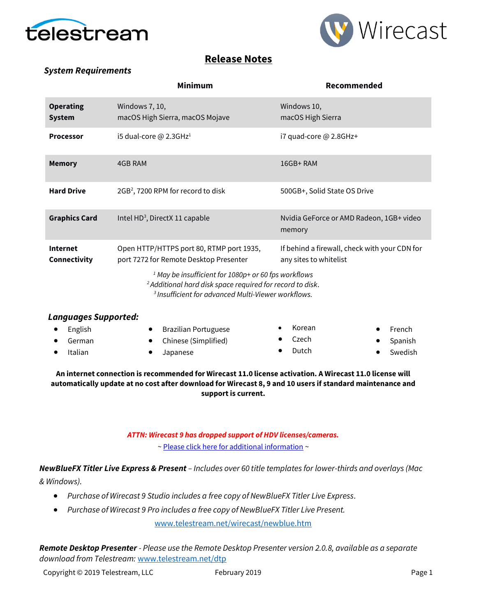



## **Release Notes**

### *System Requirements*

|                                   | <b>Minimum</b>                                                                                                                | Recommended                                                             |  |  |  |
|-----------------------------------|-------------------------------------------------------------------------------------------------------------------------------|-------------------------------------------------------------------------|--|--|--|
| <b>Operating</b><br><b>System</b> | Windows 7, 10,<br>macOS High Sierra, macOS Mojave                                                                             | Windows 10,<br>macOS High Sierra                                        |  |  |  |
| <b>Processor</b>                  | i5 dual-core $@$ 2.3GHz <sup>1</sup>                                                                                          | i7 quad-core @ 2.8GHz+                                                  |  |  |  |
| <b>Memory</b>                     | 4GB RAM                                                                                                                       | $16GB+RAM$                                                              |  |  |  |
| <b>Hard Drive</b>                 | 2GB <sup>2</sup> , 7200 RPM for record to disk                                                                                | 500GB+, Solid State OS Drive                                            |  |  |  |
| <b>Graphics Card</b>              | Intel HD <sup>3</sup> , DirectX 11 capable                                                                                    | Nvidia GeForce or AMD Radeon, 1GB+ video<br>memory                      |  |  |  |
| <b>Internet</b><br>Connectivity   | Open HTTP/HTTPS port 80, RTMP port 1935,<br>port 7272 for Remote Desktop Presenter                                            | If behind a firewall, check with your CDN for<br>any sites to whitelist |  |  |  |
|                                   | $1$ May be insufficient for 1080p+ or 60 fps workflows<br><sup>2</sup> Additional hard disk space required for record to disk |                                                                         |  |  |  |

*<sup>2</sup>Additional hard disk space required for record to disk*. *<sup>3</sup>Insufficient for advanced Multi-Viewer workflows.*

| Languages Supported: |         |  |                             |  |        |  |                  |
|----------------------|---------|--|-----------------------------|--|--------|--|------------------|
|                      | English |  | <b>Brazilian Portuguese</b> |  | Korean |  | $\bullet$ French |
|                      | German  |  | • Chinese (Simplified)      |  | Czech  |  | • Spanish        |
|                      | Italian |  | Japanese                    |  | Dutch  |  | Swedish          |
|                      |         |  |                             |  |        |  |                  |

**An internet connection is recommended for Wirecast 11.0 license activation. A Wirecast 11.0 license will automatically update at no cost after download for Wirecast 8, 9 and 10 users if standard maintenance and support is current.**

#### *ATTN: Wirecast 9 has dropped support of HDV licenses/cameras.*

[~ Please click here for additional information](http://www.telestream.net/telestream-support/wire-cast/faq.htm?kbURL=http://telestream.force.com/kb/articles/Knowledge_Article/Wirecast-HDV-Firewire-No-longer-Supported/) ~

*NewBlueFX Titler Live Express & Present – Includes over 60 title templates for lower-thirds and overlays (Mac & Windows).*

- *Purchase of Wirecast 9 Studio includes a free copy of NewBlueFX Titler Live Express.*
- *Purchase of Wirecast 9 Pro includes a free copy of NewBlueFX Titler Live Present.*

[www.telestream.net/wirecast/newblue.htm](http://www.telestream.net/wirecast/newblue.htm)

*Remote Desktop Presenter - Please use the Remote Desktop Presenter version 2.0.8, available as a separate download from Telestream:* [www.telestream.net/dtp](http://www.telestream.net/dtp)

Copyright © 2019 Telestream, LLC February 2019 February 2019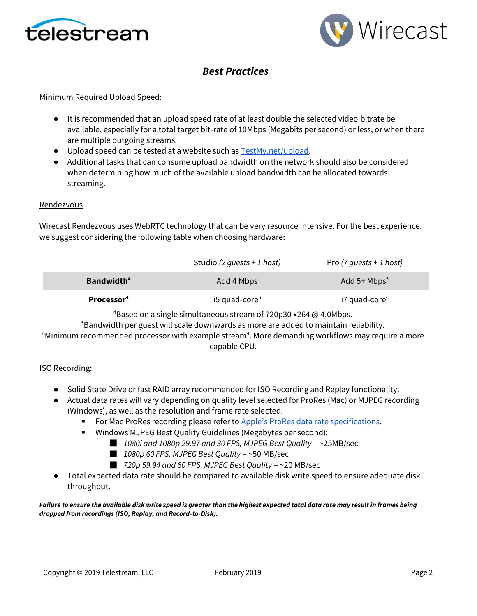



# *Best Practices*

#### Minimum Required Upload Speed:

- It is recommended that an upload speed rate of at least double the selected video bitrate be available, especially for a total target bit-rate of 10Mbps (Megabits per second) or less, or when there are multiple outgoing streams.
- Upload speed can be tested at a website such as [TestMy.net/upload.](http://testmy.net/upload)
- Additional tasks that can consume upload bandwidth on the network should also be considered when determining how much of the available upload bandwidth can be allocated towards streaming.

#### Rendezvous

Wirecast Rendezvous uses WebRTC technology that can be very resource intensive. For the best experience, we suggest considering the following table when choosing hardware:

|                        | Studio (2 quests + 1 host) | Pro $(7 \text{ guests} + 1 \text{ host})$ |
|------------------------|----------------------------|-------------------------------------------|
| Bandwidth <sup>4</sup> | Add 4 Mbps                 | Add $5+$ Mbps <sup>5</sup>                |
| Processor <sup>4</sup> | $i5$ quad-core $6$         | $i7$ quad-core $6$                        |

<sup>4</sup>Based on a single simultaneous stream of 720p30 x264  $\omega$  4.0Mbps.

<sup>5</sup>Bandwidth per guest will scale downwards as more are added to maintain reliability.

 $6$ Minimum recommended processor with example stream<sup>4</sup>. More demanding workflows may require a more capable CPU.

#### ISO Recording:

- Solid State Drive or fast RAID array recommended for ISO Recording and Replay functionality.
- Actual data rates will vary depending on quality level selected for ProRes (Mac) or MJPEG recording (Windows), as well as the resolution and frame rate selected.
	- For Mac ProRes recording please refer to [Apple's ProRes data rate specifications](https://documentation.apple.com/en/finalcutpro/professionalformatsandworkflows/index.html).
	- Windows MJPEG Best Quality Guidelines (Megabytes per second):
		- *1080i and 1080p 29.97 and 30 FPS, MJPEG Best Quality* ~25MB/sec
		- *1080p 60 FPS, MJPEG Best Quality* ~50 MB/sec
		- *720p 59.94 and 60 FPS, MJPEG Best Quality* ~20 MB/sec
- Total expected data rate should be compared to available disk write speed to ensure adequate disk throughput.

*Failure to ensure the available disk write speed is greater than the highest expected total data rate may result in frames being dropped from recordings (ISO, Replay, and Record-to-Disk).*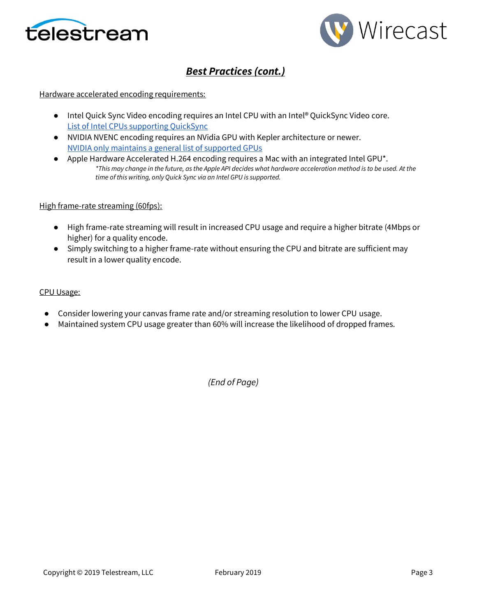



# *Best Practices (cont.)*

#### Hardware accelerated encoding requirements:

- Intel Quick Sync Video encoding requires an Intel CPU with an Intel® QuickSync Video core[.](http://ark.intel.com/search/advanced?QuickSyncVideo=true&MarketSegment=DT) [List of Intel CPUs supporting QuickSync](http://ark.intel.com/search/advanced?QuickSyncVideo=true&MarketSegment=DT)
- NVIDIA NVENC encoding requires an NVidia GPU with Kepler architecture or newer[.](https://developer.nvidia.com/nvidia-video-codec-sdk) [NVIDIA only maintains a general list of supported GPUs](https://developer.nvidia.com/nvidia-video-codec-sdk)
- Apple Hardware Accelerated H.264 encoding requires a Mac with an integrated Intel GPU<sup>\*</sup>. *\*This may change in the future, as the Apple API decides what hardware acceleration method is to be used. At the time of this writing, only Quick Sync via an Intel GPU is supported.*

#### High frame-rate streaming (60fps):

- High frame-rate streaming will result in increased CPU usage and require a higher bitrate (4Mbps or higher) for a quality encode.
- Simply switching to a higher frame-rate without ensuring the CPU and bitrate are sufficient may result in a lower quality encode.

#### CPU Usage:

- Consider lowering your canvas frame rate and/or streaming resolution to lower CPU usage.
- Maintained system CPU usage greater than 60% will increase the likelihood of dropped frames.

*(End of Page)*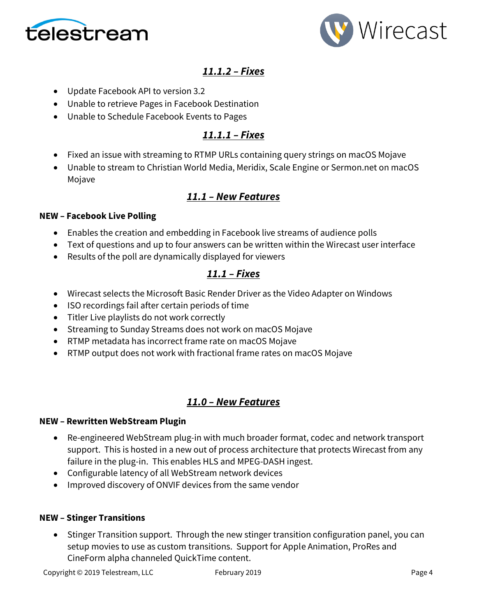



## *11.1.2 – Fixes*

- Update Facebook API to version 3.2
- Unable to retrieve Pages in Facebook Destination
- Unable to Schedule Facebook Events to Pages

## *11.1.1 – Fixes*

- Fixed an issue with streaming to RTMP URLs containing query strings on macOS Mojave
- Unable to stream to Christian World Media, Meridix, Scale Engine or Sermon.net on macOS Mojave

## *11.1 – New Features*

### **NEW – Facebook Live Polling**

- Enables the creation and embedding in Facebook live streams of audience polls
- Text of questions and up to four answers can be written within the Wirecast user interface
- Results of the poll are dynamically displayed for viewers

## *11.1 – Fixes*

- Wirecast selects the Microsoft Basic Render Driver as the Video Adapter on Windows
- ISO recordings fail after certain periods of time
- Titler Live playlists do not work correctly
- Streaming to Sunday Streams does not work on macOS Mojave
- RTMP metadata has incorrect frame rate on macOS Mojave
- RTMP output does not work with fractional frame rates on macOS Mojave

## *11.0 – New Features*

### **NEW – Rewritten WebStream Plugin**

- Re-engineered WebStream plug-in with much broader format, codec and network transport support. This is hosted in a new out of process architecture that protects Wirecast from any failure in the plug-in. This enables HLS and MPEG-DASH ingest.
- Configurable latency of all WebStream network devices
- Improved discovery of ONVIF devices from the same vendor

### **NEW – Stinger Transitions**

• Stinger Transition support. Through the new stinger transition configuration panel, you can setup movies to use as custom transitions. Support for Apple Animation, ProRes and CineForm alpha channeled QuickTime content.

Copyright © 2019 Telestream, LLC February 2019 February 2019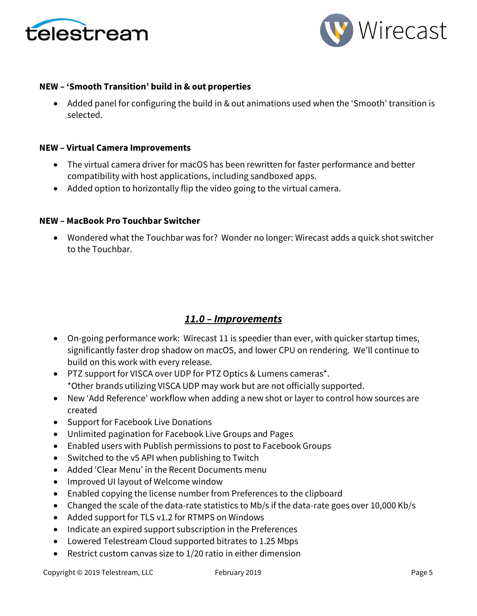



### **NEW – 'Smooth Transition' build in & out properties**

• Added panel for configuring the build in & out animations used when the 'Smooth' transition is selected.

### **NEW – Virtual Camera Improvements**

- The virtual camera driver for macOS has been rewritten for faster performance and better compatibility with host applications, including sandboxed apps.
- Added option to horizontally flip the video going to the virtual camera.

### **NEW – MacBook Pro Touchbar Switcher**

• Wondered what the Touchbar was for? Wonder no longer: Wirecast adds a quick shot switcher to the Touchbar.

### *11.0 – Improvements*

- On-going performance work: Wirecast 11 is speedier than ever, with quicker startup times, significantly faster drop shadow on macOS, and lower CPU on rendering. We'll continue to build on this work with every release.
- PTZ support for VISCA over UDP for PTZ Optics & Lumens cameras\*. \*Other brands utilizing VISCA UDP may work but are not officially supported.
- New 'Add Reference' workflow when adding a new shot or layer to control how sources are created
- Support for Facebook Live Donations
- Unlimited pagination for Facebook Live Groups and Pages
- Enabled users with Publish permissions to post to Facebook Groups
- Switched to the v5 API when publishing to Twitch
- Added 'Clear Menu' in the Recent Documents menu
- Improved UI layout of Welcome window
- Enabled copying the license number from Preferences to the clipboard
- Changed the scale of the data-rate statistics to Mb/s if the data-rate goes over 10,000 Kb/s
- Added support for TLS v1.2 for RTMPS on Windows
- Indicate an expired support subscription in the Preferences
- Lowered Telestream Cloud supported bitrates to 1.25 Mbps
- Restrict custom canvas size to 1/20 ratio in either dimension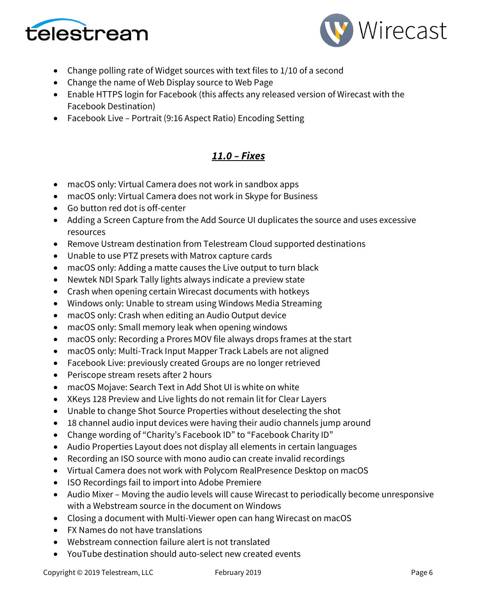



- Change polling rate of Widget sources with text files to 1/10 of a second
- Change the name of Web Display source to Web Page
- Enable HTTPS login for Facebook (this affects any released version of Wirecast with the Facebook Destination)
- Facebook Live Portrait (9:16 Aspect Ratio) Encoding Setting

# *11.0 – Fixes*

- macOS only: Virtual Camera does not work in sandbox apps
- macOS only: Virtual Camera does not work in Skype for Business
- Go button red dot is off-center
- Adding a Screen Capture from the Add Source UI duplicates the source and uses excessive resources
- Remove Ustream destination from Telestream Cloud supported destinations
- Unable to use PTZ presets with Matrox capture cards
- macOS only: Adding a matte causes the Live output to turn black
- Newtek NDI Spark Tally lights always indicate a preview state
- Crash when opening certain Wirecast documents with hotkeys
- Windows only: Unable to stream using Windows Media Streaming
- macOS only: Crash when editing an Audio Output device
- macOS only: Small memory leak when opening windows
- macOS only: Recording a Prores MOV file always drops frames at the start
- macOS only: Multi-Track Input Mapper Track Labels are not aligned
- Facebook Live: previously created Groups are no longer retrieved
- Periscope stream resets after 2 hours
- macOS Mojave: Search Text in Add Shot UI is white on white
- XKeys 128 Preview and Live lights do not remain lit for Clear Layers
- Unable to change Shot Source Properties without deselecting the shot
- 18 channel audio input devices were having their audio channels jump around
- Change wording of "Charity's Facebook ID" to "Facebook Charity ID"
- Audio Properties Layout does not display all elements in certain languages
- Recording an ISO source with mono audio can create invalid recordings
- Virtual Camera does not work with Polycom RealPresence Desktop on macOS
- ISO Recordings fail to import into Adobe Premiere
- Audio Mixer Moving the audio levels will cause Wirecast to periodically become unresponsive with a Webstream source in the document on Windows
- Closing a document with Multi-Viewer open can hang Wirecast on macOS
- FX Names do not have translations
- Webstream connection failure alert is not translated
- YouTube destination should auto-select new created events